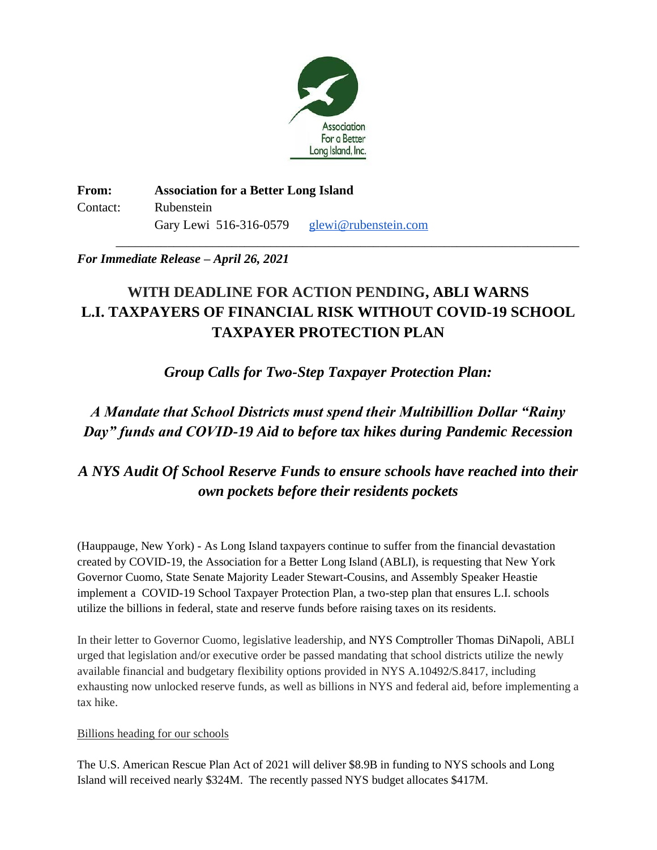

**From: Association for a Better Long Island** Contact: Rubenstein Gary Lewi 516-316-0579 [glewi@rubenstein.com](mailto:glewi@rubenstein.com)

### *For Immediate Release – April 26, 2021*

# **WITH DEADLINE FOR ACTION PENDING, ABLI WARNS L.I. TAXPAYERS OF FINANCIAL RISK WITHOUT COVID-19 SCHOOL TAXPAYER PROTECTION PLAN**

\_\_\_\_\_\_\_\_\_\_\_\_\_\_\_\_\_\_\_\_\_\_\_\_\_\_\_\_\_\_\_\_\_\_\_\_\_\_\_\_\_\_\_\_\_\_\_\_\_\_\_\_\_\_\_\_\_\_\_\_\_\_\_\_\_\_\_\_\_\_\_\_

*Group Calls for Two-Step Taxpayer Protection Plan:*

### *A Mandate that School Districts must spend their Multibillion Dollar "Rainy Day" funds and COVID-19 Aid to before tax hikes during Pandemic Recession*

## *A NYS Audit Of School Reserve Funds to ensure schools have reached into their own pockets before their residents pockets*

(Hauppauge, New York) - As Long Island taxpayers continue to suffer from the financial devastation created by COVID-19, the Association for a Better Long Island (ABLI), is requesting that New York Governor Cuomo, State Senate Majority Leader Stewart-Cousins, and Assembly Speaker Heastie implement a COVID-19 School Taxpayer Protection Plan, a two-step plan that ensures L.I. schools utilize the billions in federal, state and reserve funds before raising taxes on its residents.

In their letter to Governor Cuomo, legislative leadership, and NYS Comptroller Thomas DiNapoli, ABLI urged that legislation and/or executive order be passed mandating that school districts utilize the newly available financial and budgetary flexibility options provided in NYS A.10492/S.8417, including exhausting now unlocked reserve funds, as well as billions in NYS and federal aid, before implementing a tax hike.

#### Billions heading for our schools

The U.S. American Rescue Plan Act of 2021 will deliver \$8.9B in funding to NYS schools and Long Island will received nearly \$324M. The recently passed NYS budget allocates \$417M.